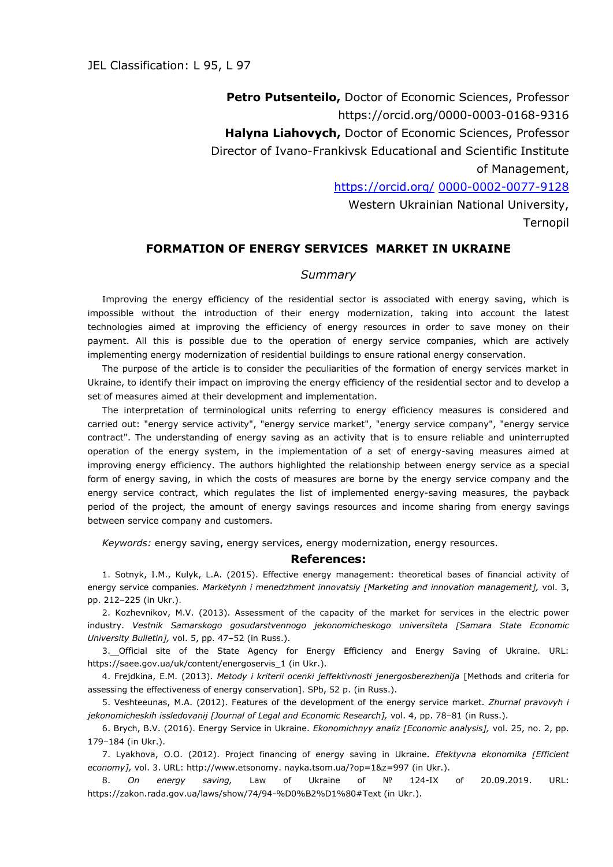**Petro Putsenteilo,** Doctor of Economic Sciences, Professor https://orcid.org/0000-0003-0168-9316 **Halyna Liahovych,** Doctor of Economic Sciences, Professor Director of Ivano-Frankivsk Educational and Scientific Institute of Management, <https://orcid.org/> [0000-0002-0077-9128](http://orcid.org/0000-0002-0077-9128) Western Ukrainian National University, Ternopil

## **FORMATION OF ENERGY SERVICES MARKET IN UKRAINE**

## *Summary*

Improving the energy efficiency of the residential sector is associated with energy saving, which is impossible without the introduction of their energy modernization, taking into account the latest technologies aimed at improving the efficiency of energy resources in order to save money on their payment. All this is possible due to the operation of energy service companies, which are actively implementing energy modernization of residential buildings to ensure rational energy conservation.

The purpose of the article is to consider the peculiarities of the formation of energy services market in Ukraine, to identify their impact on improving the energy efficiency of the residential sector and to develop a set of measures aimed at their development and implementation.

The interpretation of terminological units referring to energy efficiency measures is considered and carried out: "energy service activity", "energy service market", "energy service company", "energy service contract". The understanding of energy saving as an activity that is to ensure reliable and uninterrupted operation of the energy system, in the implementation of a set of energy-saving measures aimed at improving energy efficiency. The authors highlighted the relationship between energy service as a special form of energy saving, in which the costs of measures are borne by the energy service company and the energy service contract, which regulates the list of implemented energy-saving measures, the payback period of the project, the amount of energy savings resources and income sharing from energy savings between service company and customers.

*Keywords:* energy saving, energy services, energy modernization, energy resources.

## **References:**

1. Sotnyk, I.M., Kulyk, L.A. (2015). Effective energy management: theoretical bases of financial activity of energy service companies. *Marketynh i menedzhment innovatsiy [Marketing and innovation management],* vol. 3, pp. 212–225 (in Ukr.).

2. Kozhevnikov, M.V. (2013). Assessment of the capacity of the market for services in the electric power industry. *Vestnik Samarskogo gosudarstvennogo jekonomicheskogo universiteta [Samara State Economic University Bulletin],* vol. 5, pp. 47–52 (in Russ.).

3. Official site of the State Agency for Energy Efficiency and Energy Saving of Ukraine. URL: https://saee.gov.ua/uk/content/energoservis\_1 (in Ukr.).

4. Frejdkina, E.M. (2013). *Metody i kriterii ocenki jeffektivnosti jenergosberezhenija* [Methods and criteria for assessing the effectiveness of energy conservation]. SPb, 52 p. (in Russ.).

5. Veshteeunas, M.A. (2012). Features of the development of the energy service market. *Zhurnal pravovyh i jekonomicheskih issledovanij [Journal of Legal and Economic Research],* vol. 4, pp. 78–81 (in Russ.).

6. Brych, B.V. (2016). Energy Service in Ukraine. *Ekonomichnyy analiz [Economic analysis],* vol. 25, no. 2, pp. 179–184 (in Ukr.).

7. Lyakhova, O.O. (2012). Project financing of energy saving in Ukraine. *Efektyvna ekonomika [Efficient economy],* vol. 3. URL: http://www.etsonomy. nayka.tsom.ua/?op=1&z=997 (in Ukr.).

8. *On energy saving,* Law of Ukraine of № 124-IX of 20.09.2019. URL: https://zakon.rada.gov.ua/laws/show/74/94-%D0%B2%D1%80#Text (in Ukr.).